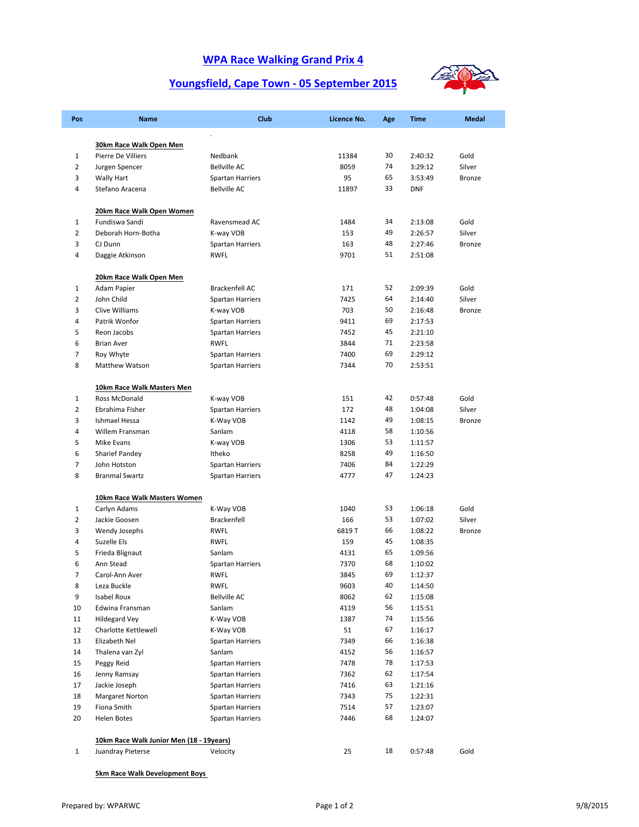### **WPA Race Walking Grand Prix 4**

# **Youngsfield, Cape Town ‐ 05 September 2015**



| Pos            | <b>Name</b>                                   | Club                    | Licence No. | Age | <b>Time</b> | <b>Medal</b>  |
|----------------|-----------------------------------------------|-------------------------|-------------|-----|-------------|---------------|
|                |                                               | $\ddot{\phantom{a}}$    |             |     |             |               |
| $\mathbf{1}$   | 30km Race Walk Open Men<br>Pierre De Villiers | Nedbank                 | 11384       | 30  | 2:40:32     | Gold          |
| $\overline{2}$ | Jurgen Spencer                                | <b>Bellville AC</b>     | 8059        | 74  | 3:29:12     | Silver        |
| 3              | <b>Wally Hart</b>                             | <b>Spartan Harriers</b> | 95          | 65  | 3:53:49     | <b>Bronze</b> |
| 4              | Stefano Aracena                               | <b>Bellville AC</b>     | 11897       | 33  | <b>DNF</b>  |               |
|                |                                               |                         |             |     |             |               |
|                | 20km Race Walk Open Women                     |                         |             |     |             |               |
| $\mathbf{1}$   | Fundiswa Sandi                                | Ravensmead AC           | 1484        | 34  | 2:13:08     | Gold          |
| $\overline{2}$ | Deborah Horn-Botha                            | K-way VOB               | 153         | 49  | 2:26:57     | Silver        |
| 3              | CJ Dunn                                       | <b>Spartan Harriers</b> | 163         | 48  | 2:27:46     | <b>Bronze</b> |
| 4              | Daggie Atkinson                               | RWFL                    | 9701        | 51  | 2:51:08     |               |
|                | 20km Race Walk Open Men                       |                         |             |     |             |               |
| $\mathbf{1}$   | Adam Papier                                   | <b>Brackenfell AC</b>   | 171         | 52  | 2:09:39     | Gold          |
| $\overline{2}$ | John Child                                    | Spartan Harriers        | 7425        | 64  | 2:14:40     | Silver        |
| 3              | Clive Williams                                | K-way VOB               | 703         | 50  | 2:16:48     | <b>Bronze</b> |
| 4              | Patrik Wonfor                                 | <b>Spartan Harriers</b> | 9411        | 69  | 2:17:53     |               |
| 5              | Reon Jacobs                                   | Spartan Harriers        | 7452        | 45  | 2:21:10     |               |
| 6              | <b>Brian Aver</b>                             | <b>RWFL</b>             | 3844        | 71  | 2:23:58     |               |
| 7              | Roy Whyte                                     | Spartan Harriers        | 7400        | 69  | 2:29:12     |               |
| 8              | Matthew Watson                                | <b>Spartan Harriers</b> | 7344        | 70  | 2:53:51     |               |
|                | 10km Race Walk Masters Men                    |                         |             |     |             |               |
| 1              | Ross McDonald                                 | K-way VOB               | 151         | 42  | 0:57:48     | Gold          |
| $\overline{2}$ | Ebrahima Fisher                               | <b>Spartan Harriers</b> | 172         | 48  | 1:04:08     | Silver        |
| 3              | Ishmael Hessa                                 | K-Way VOB               | 1142        | 49  | 1:08:15     | <b>Bronze</b> |
| 4              | Willem Fransman                               | Sanlam                  | 4118        | 58  | 1:10:56     |               |
| 5              | Mike Evans                                    | K-way VOB               | 1306        | 53  | 1:11:57     |               |
| 6              | Sharief Pandey                                | Itheko                  | 8258        | 49  | 1:16:50     |               |
| 7              | John Hotston                                  | Spartan Harriers        | 7406        | 84  | 1:22:29     |               |
| 8              | <b>Branmal Swartz</b>                         | Spartan Harriers        | 4777        | 47  | 1:24:23     |               |
|                | 10km Race Walk Masters Women                  |                         |             |     |             |               |
| $\mathbf{1}$   | Carlyn Adams                                  | K-Way VOB               | 1040        | 53  | 1:06:18     | Gold          |
| $\overline{2}$ | Jackie Goosen                                 | <b>Brackenfell</b>      | 166         | 53  | 1:07:02     | Silver        |
| 3              | Wendy Josephs                                 | <b>RWFL</b>             | 6819T       | 66  | 1:08:22     | Bronze        |
| 4              | Suzelle Els                                   | <b>RWFL</b>             | 159         | 45  | 1:08:35     |               |
| 5              | Frieda Blignaut                               | Sanlam                  | 4131        | 65  | 1:09:56     |               |
| 6              | Ann Stead                                     | <b>Spartan Harriers</b> | 7370        | 68  | 1:10:02     |               |
| 7              | Carol-Ann Aver                                | <b>RWFL</b>             | 3845        | 69  | 1:12:37     |               |
| 8              | Leza Buckle                                   | RWFL                    | 9603        | 40  | 1:14:50     |               |
| 9              | Isabel Roux                                   | <b>Bellville AC</b>     | 8062        | 62  | 1:15:08     |               |
| 10             | Edwina Fransman                               | Sanlam                  | 4119        | 56  | 1:15:51     |               |
| 11             | <b>Hildegard Vey</b>                          | K-Way VOB               | 1387        | 74  | 1:15:56     |               |
| 12             | Charlotte Kettlewell                          | K-Way VOB               | 51          | 67  | 1:16:17     |               |
| 13             | Elizabeth Nel                                 | <b>Spartan Harriers</b> | 7349        | 66  | 1:16:38     |               |
| 14             | Thalena van Zyl                               | Sanlam                  | 4152        | 56  | 1:16:57     |               |
| 15             | Peggy Reid                                    | Spartan Harriers        | 7478        | 78  | 1:17:53     |               |
| 16             | Jenny Ramsay                                  | <b>Spartan Harriers</b> | 7362        | 62  | 1:17:54     |               |
| 17             | Jackie Joseph                                 | Spartan Harriers        | 7416        | 63  | 1:21:16     |               |
| 18             | Margaret Norton                               | <b>Spartan Harriers</b> | 7343        | 75  | 1:22:31     |               |
| 19             | Fiona Smith                                   | Spartan Harriers        | 7514        | 57  | 1:23:07     |               |
| 20             | Helen Botes                                   | Spartan Harriers        | 7446        | 68  | 1:24:07     |               |
|                | 10km Race Walk Junior Men (18 - 19years)      |                         |             |     |             |               |
| $\mathbf{1}$   | Juandray Pieterse                             | Velocity                | 25          | 18  | 0:57:48     | Gold          |
|                |                                               |                         |             |     |             |               |

#### **5km Race Walk Development Boys**